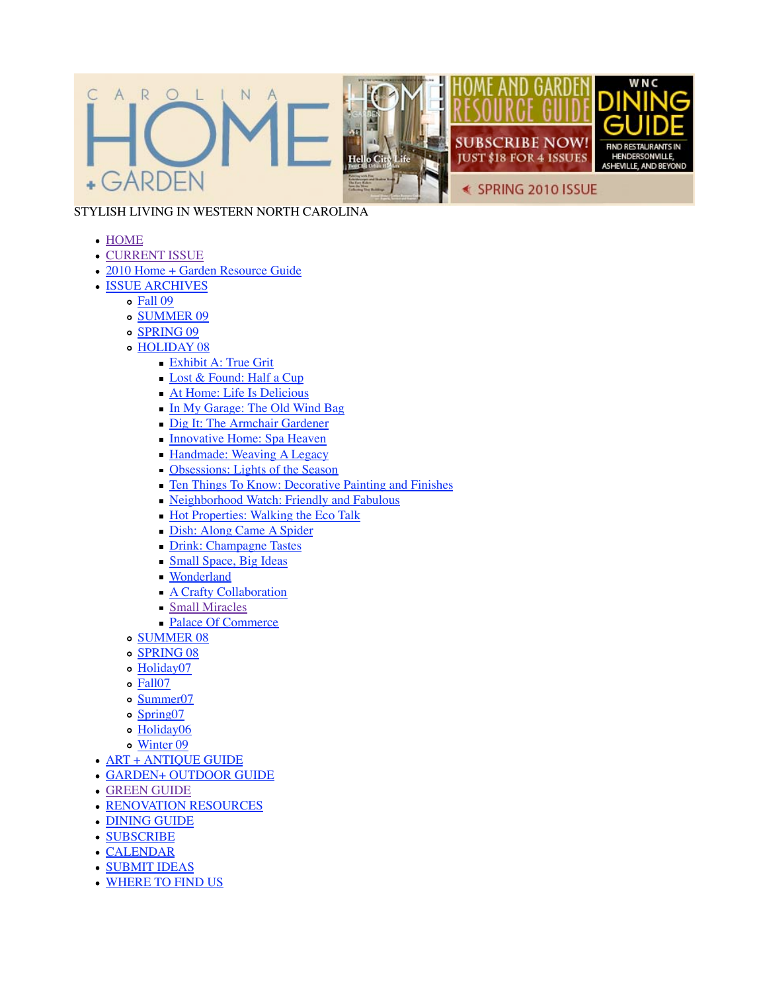

## STYLISH LIVING IN WESTERN NORTH CAROLINA

- HOME
- · CURRENT ISSUE
- 2010 Home + Garden Resource Guide
- ISSUE ARCHIVES
	- Fall 09
		- o SUMMER 09
		- o SPRING 09
		- HOLIDAY 08
			- Exhibit A: True Grit
			- Lost & Found: Half a Cup
			- At Home: Life Is Delicious
			- In My Garage: The Old Wind Bag
			- Dig It: The Armchair Gardener
			- **Innovative Home: Spa Heaven**
			- **Handmade: Weaving A Legacy**
			- Obsessions: Lights of the Season
			- Ten Things To Know: Decorative Painting and Finishes
			- Neighborhood Watch: Friendly and Fabulous
			- Hot Properties: Walking the Eco Talk
			- Dish: Along Came A Spider
			- Drink: Champagne Tastes
			- Small Space, Big Ideas
			- Wonderland
			- **A Crafty Collaboration**
			- Small Miracles
			- Palace Of Commerce
		- o SUMMER 08
		- o SPRING 08
		- Holiday07
		- Fall07
		- o Summer07
		- Spring07
		- o Holiday06
		- Winter 09
- ART + ANTIQUE GUIDE
- GARDEN+ OUTDOOR GUIDE
- GREEN GUIDE
- RENOVATION RESOURCES
- DINING GUIDE
- SUBSCRIBE
- CALENDAR
- SUBMIT IDEAS
- WHERE TO FIND US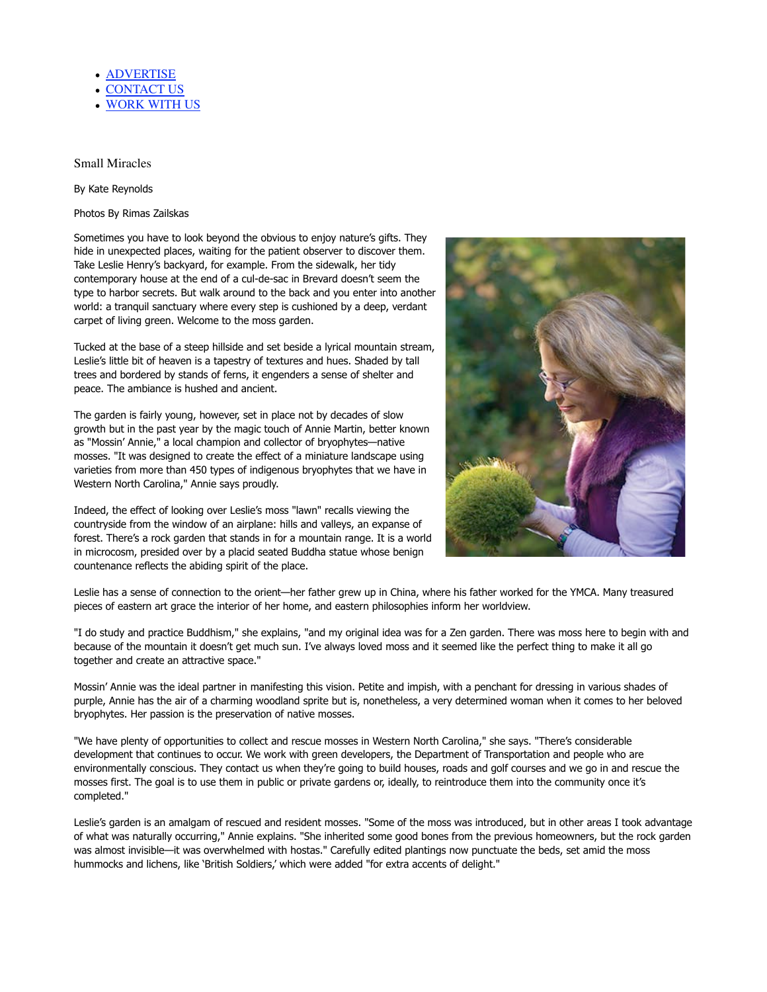- **ADVERTISE**
- CONTACT US
- WORK WITH US

## Small Miracles

By Kate Reynolds

Photos By Rimas Zailskas

Sometimes you have to look beyond the obvious to enjoy nature's gifts. They hide in unexpected places, waiting for the patient observer to discover them. Take Leslie Henry's backyard, for example. From the sidewalk, her tidy contemporary house at the end of a cul-de-sac in Brevard doesn't seem the type to harbor secrets. But walk around to the back and you enter into another world: a tranquil sanctuary where every step is cushioned by a deep, verdant carpet of living green. Welcome to the moss garden.

Tucked at the base of a steep hillside and set beside a lyrical mountain stream, Leslie's little bit of heaven is a tapestry of textures and hues. Shaded by tall trees and bordered by stands of ferns, it engenders a sense of shelter and peace. The ambiance is hushed and ancient.

The garden is fairly young, however, set in place not by decades of slow growth but in the past year by the magic touch of Annie Martin, better known as "Mossin' Annie," a local champion and collector of bryophytes—native mosses. "It was designed to create the effect of a miniature landscape using varieties from more than 450 types of indigenous bryophytes that we have in Western North Carolina," Annie says proudly.

Indeed, the effect of looking over Leslie's moss "lawn" recalls viewing the countryside from the window of an airplane: hills and valleys, an expanse of forest. There's a rock garden that stands in for a mountain range. It is a world in microcosm, presided over by a placid seated Buddha statue whose benign countenance reflects the abiding spirit of the place.



Leslie has a sense of connection to the orient—her father grew up in China, where his father worked for the YMCA. Many treasured pieces of eastern art grace the interior of her home, and eastern philosophies inform her worldview.

"I do study and practice Buddhism," she explains, "and my original idea was for a Zen garden. There was moss here to begin with and because of the mountain it doesn't get much sun. I've always loved moss and it seemed like the perfect thing to make it all go together and create an attractive space."

Mossin' Annie was the ideal partner in manifesting this vision. Petite and impish, with a penchant for dressing in various shades of purple, Annie has the air of a charming woodland sprite but is, nonetheless, a very determined woman when it comes to her beloved bryophytes. Her passion is the preservation of native mosses.

"We have plenty of opportunities to collect and rescue mosses in Western North Carolina," she says. "There's considerable development that continues to occur. We work with green developers, the Department of Transportation and people who are environmentally conscious. They contact us when they're going to build houses, roads and golf courses and we go in and rescue the mosses first. The goal is to use them in public or private gardens or, ideally, to reintroduce them into the community once it's completed."

Leslie's garden is an amalgam of rescued and resident mosses. "Some of the moss was introduced, but in other areas I took advantage of what was naturally occurring," Annie explains. "She inherited some good bones from the previous homeowners, but the rock garden was almost invisible—it was overwhelmed with hostas." Carefully edited plantings now punctuate the beds, set amid the moss hummocks and lichens, like 'British Soldiers,' which were added "for extra accents of delight."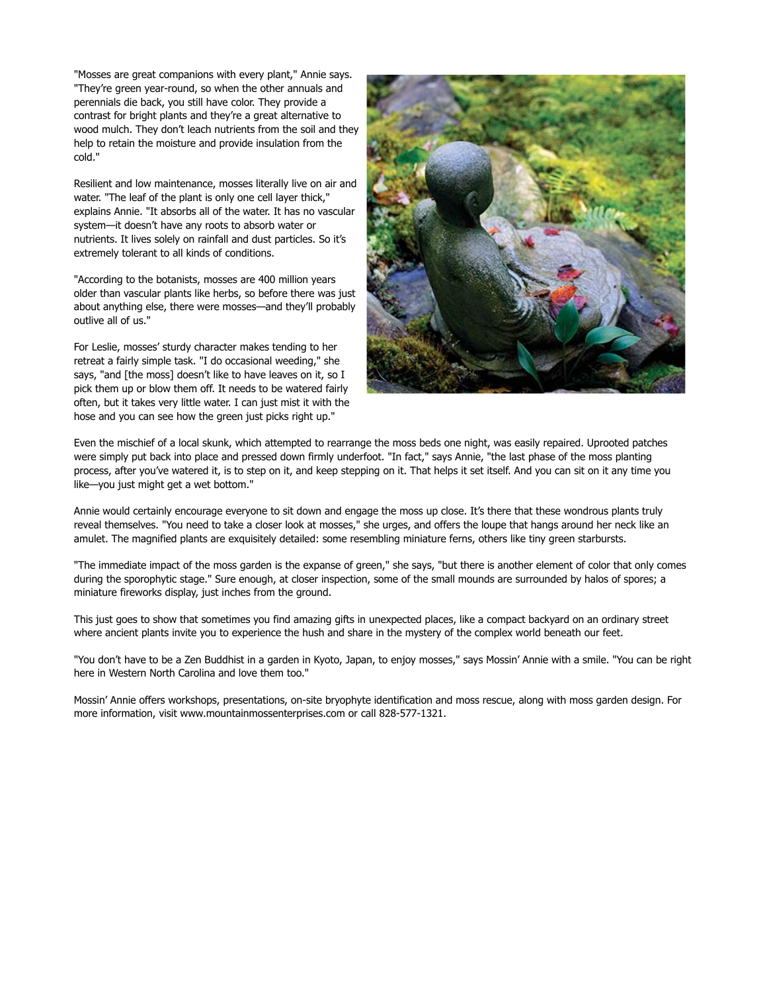"Mosses are great companions with every plant," Annie says. "They're green year-round, so when the other annuals and perennials die back, you still have color. They provide a contrast for bright plants and they're a great alternative to wood mulch. They don't leach nutrients from the soil and they help to retain the moisture and provide insulation from the cold."

Resilient and low maintenance, mosses literally live on air and water. "The leaf of the plant is only one cell layer thick," explains Annie. "It absorbs all of the water. It has no vascular system—it doesn't have any roots to absorb water or nutrients. It lives solely on rainfall and dust particles. So it's extremely tolerant to all kinds of conditions.

"According to the botanists, mosses are 400 million years older than vascular plants like herbs, so before there was just about anything else, there were mosses—and they'll probably outlive all of us."

For Leslie, mosses' sturdy character makes tending to her retreat a fairly simple task. "I do occasional weeding," she says, "and [the moss] doesn't like to have leaves on it, so I pick them up or blow them off. It needs to be watered fairly often, but it takes very little water. I can just mist it with the hose and you can see how the green just picks right up."



Even the mischief of a local skunk, which attempted to rearrange the moss beds one night, was easily repaired. Uprooted patches were simply put back into place and pressed down firmly underfoot. "In fact," says Annie, "the last phase of the moss planting process, after you've watered it, is to step on it, and keep stepping on it. That helps it set itself. And you can sit on it any time you like—you just might get a wet bottom."

Annie would certainly encourage everyone to sit down and engage the moss up close. It's there that these wondrous plants truly reveal themselves. "You need to take a closer look at mosses," she urges, and offers the loupe that hangs around her neck like an amulet. The magnified plants are exquisitely detailed: some resembling miniature ferns, others like tiny green starbursts.

"The immediate impact of the moss garden is the expanse of green," she says, "but there is another element of color that only comes during the sporophytic stage." Sure enough, at closer inspection, some of the small mounds are surrounded by halos of spores; a miniature fireworks display, just inches from the ground.

This just goes to show that sometimes you find amazing gifts in unexpected places, like a compact backyard on an ordinary street where ancient plants invite you to experience the hush and share in the mystery of the complex world beneath our feet.

"You don't have to be a Zen Buddhist in a garden in Kyoto, Japan, to enjoy mosses," says Mossin' Annie with a smile. "You can be right here in Western North Carolina and love them too."

Mossin' Annie offers workshops, presentations, on-site bryophyte identification and moss rescue, along with moss garden design. For more information, visit www.mountainmossenterprises.com or call 828-577-1321.